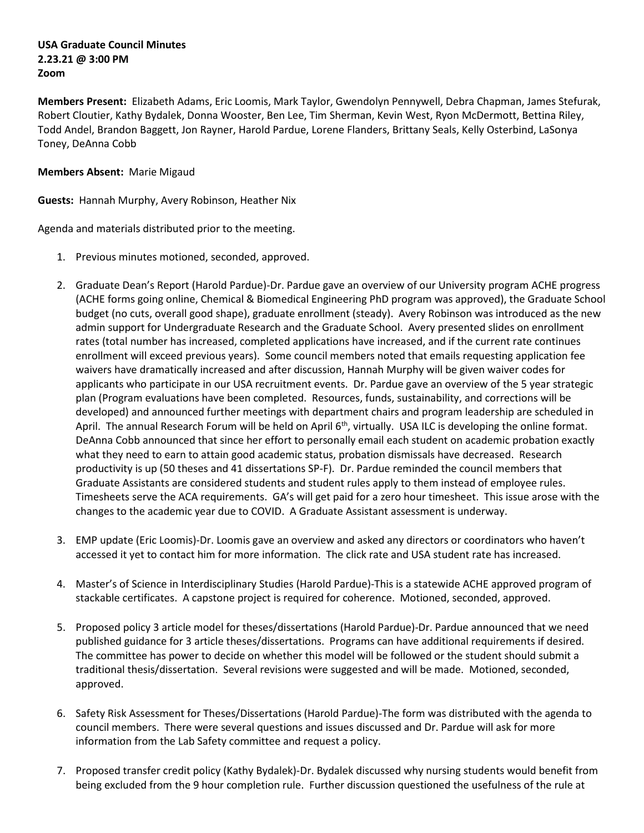## **USA Graduate Council Minutes 2.23.21 @ 3:00 PM Zoom**

**Members Present:** Elizabeth Adams, Eric Loomis, Mark Taylor, Gwendolyn Pennywell, Debra Chapman, James Stefurak, Robert Cloutier, Kathy Bydalek, Donna Wooster, Ben Lee, Tim Sherman, Kevin West, Ryon McDermott, Bettina Riley, Todd Andel, Brandon Baggett, Jon Rayner, Harold Pardue, Lorene Flanders, Brittany Seals, Kelly Osterbind, LaSonya Toney, DeAnna Cobb

## **Members Absent:** Marie Migaud

**Guests:** Hannah Murphy, Avery Robinson, Heather Nix

Agenda and materials distributed prior to the meeting.

- 1. Previous minutes motioned, seconded, approved.
- 2. Graduate Dean's Report (Harold Pardue)-Dr. Pardue gave an overview of our University program ACHE progress (ACHE forms going online, Chemical & Biomedical Engineering PhD program was approved), the Graduate School budget (no cuts, overall good shape), graduate enrollment (steady). Avery Robinson was introduced as the new admin support for Undergraduate Research and the Graduate School. Avery presented slides on enrollment rates (total number has increased, completed applications have increased, and if the current rate continues enrollment will exceed previous years). Some council members noted that emails requesting application fee waivers have dramatically increased and after discussion, Hannah Murphy will be given waiver codes for applicants who participate in our USA recruitment events. Dr. Pardue gave an overview of the 5 year strategic plan (Program evaluations have been completed. Resources, funds, sustainability, and corrections will be developed) and announced further meetings with department chairs and program leadership are scheduled in April. The annual Research Forum will be held on April 6<sup>th</sup>, virtually. USA ILC is developing the online format. DeAnna Cobb announced that since her effort to personally email each student on academic probation exactly what they need to earn to attain good academic status, probation dismissals have decreased. Research productivity is up (50 theses and 41 dissertations SP-F). Dr. Pardue reminded the council members that Graduate Assistants are considered students and student rules apply to them instead of employee rules. Timesheets serve the ACA requirements. GA's will get paid for a zero hour timesheet. This issue arose with the changes to the academic year due to COVID. A Graduate Assistant assessment is underway.
- 3. EMP update (Eric Loomis)-Dr. Loomis gave an overview and asked any directors or coordinators who haven't accessed it yet to contact him for more information. The click rate and USA student rate has increased.
- 4. Master's of Science in Interdisciplinary Studies (Harold Pardue)-This is a statewide ACHE approved program of stackable certificates. A capstone project is required for coherence. Motioned, seconded, approved.
- 5. Proposed policy 3 article model for theses/dissertations (Harold Pardue)-Dr. Pardue announced that we need published guidance for 3 article theses/dissertations. Programs can have additional requirements if desired. The committee has power to decide on whether this model will be followed or the student should submit a traditional thesis/dissertation. Several revisions were suggested and will be made. Motioned, seconded, approved.
- 6. Safety Risk Assessment for Theses/Dissertations (Harold Pardue)-The form was distributed with the agenda to council members. There were several questions and issues discussed and Dr. Pardue will ask for more information from the Lab Safety committee and request a policy.
- 7. Proposed transfer credit policy (Kathy Bydalek)-Dr. Bydalek discussed why nursing students would benefit from being excluded from the 9 hour completion rule. Further discussion questioned the usefulness of the rule at